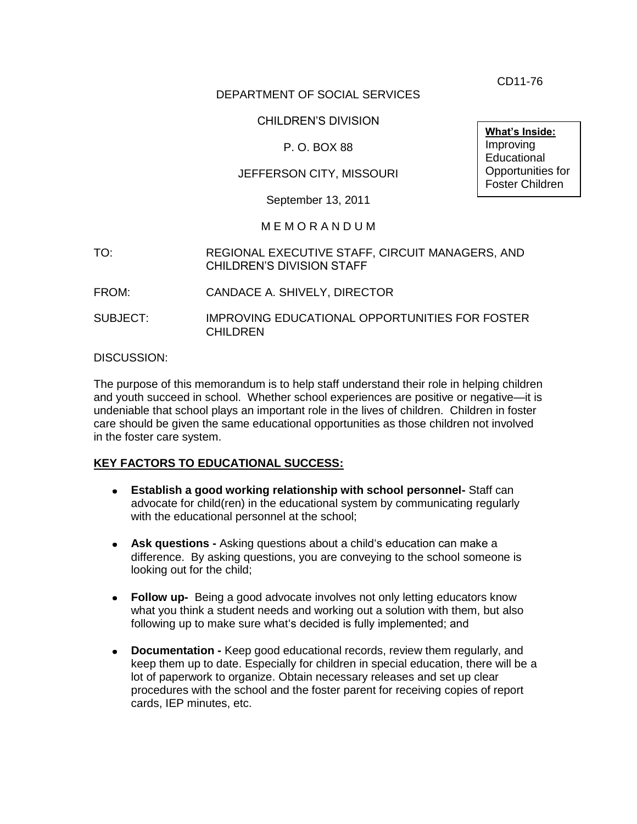CD11-76

## DEPARTMENT OF SOCIAL SERVICES

#### CHILDREN'S DIVISION

## P. O. BOX 88

## JEFFERSON CITY, MISSOURI

September 13, 2011

#### M E M O R A N D U M

- TO: REGIONAL EXECUTIVE STAFF, CIRCUIT MANAGERS, AND CHILDREN'S DIVISION STAFF
- FROM: CANDACE A. SHIVELY, DIRECTOR
- SUBJECT: IMPROVING EDUCATIONAL OPPORTUNITIES FOR FOSTER **CHILDREN**

#### DISCUSSION:

The purpose of this memorandum is to help staff understand their role in helping children and youth succeed in school. Whether school experiences are positive or negative—it is undeniable that school plays an important role in the lives of children. Children in foster care should be given the same educational opportunities as those children not involved in the foster care system.

#### **KEY FACTORS TO EDUCATIONAL SUCCESS:**

- **Establish a good working relationship with school personnel-** Staff can advocate for child(ren) in the educational system by communicating regularly with the educational personnel at the school:
- **Ask questions -** Asking questions about a child's education can make a difference. By asking questions, you are conveying to the school someone is looking out for the child;
- **Follow up-** Being a good advocate involves not only letting educators know what you think a student needs and working out a solution with them, but also following up to make sure what's decided is fully implemented; and
- **Documentation -** Keep good educational records, review them regularly, and keep them up to date. Especially for children in special education, there will be a lot of paperwork to organize. Obtain necessary releases and set up clear procedures with the school and the foster parent for receiving copies of report cards, IEP minutes, etc.

**What's Inside: Improving Educational** Opportunities for Foster Children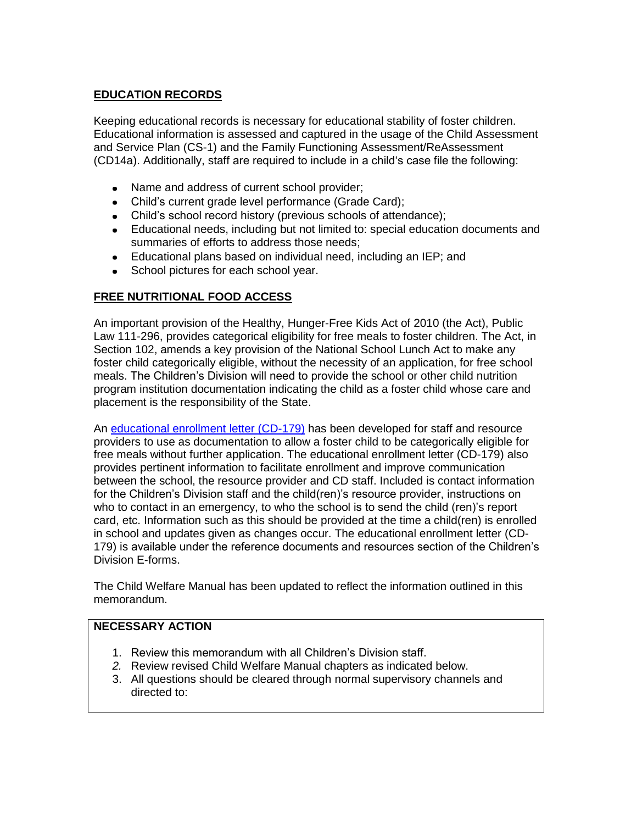# **EDUCATION RECORDS**

Keeping educational records is necessary for educational stability of foster children. Educational information is assessed and captured in the usage of the Child Assessment and Service Plan (CS-1) and the Family Functioning Assessment/ReAssessment (CD14a). Additionally, staff are required to include in a child's case file the following:

- Name and address of current school provider;
- Child's current grade level performance (Grade Card);
- Child's school record history (previous schools of attendance);
- Educational needs, including but not limited to: special education documents and summaries of efforts to address those needs;
- Educational plans based on individual need, including an IEP; and
- School pictures for each school year.

## **FREE NUTRITIONAL FOOD ACCESS**

An important provision of the Healthy, Hunger-Free Kids Act of 2010 (the Act), Public Law 111-296, provides categorical eligibility for free meals to foster children. The Act, in Section 102, amends a key provision of the National School Lunch Act to make any foster child categorically eligible, without the necessity of an application, for free school meals. The Children's Division will need to provide the school or other child nutrition program institution documentation indicating the child as a foster child whose care and placement is the responsibility of the State.

An [educational enrollment letter](/cd/info/forms/index.htm) (CD-179) has been developed for staff and resource providers to use as documentation to allow a foster child to be categorically eligible for free meals without further application. The educational enrollment letter (CD-179) also provides pertinent information to facilitate enrollment and improve communication between the school, the resource provider and CD staff. Included is contact information for the Children's Division staff and the child(ren)'s resource provider, instructions on who to contact in an emergency, to who the school is to send the child (ren)'s report card, etc. Information such as this should be provided at the time a child(ren) is enrolled in school and updates given as changes occur. The educational enrollment letter (CD-179) is available under the reference documents and resources section of the Children's Division E-forms.

The Child Welfare Manual has been updated to reflect the information outlined in this memorandum.

## **NECESSARY ACTION**

- 1. Review this memorandum with all Children's Division staff.
- *2.* Review revised Child Welfare Manual chapters as indicated below.
- 3. All questions should be cleared through normal supervisory channels and directed to: